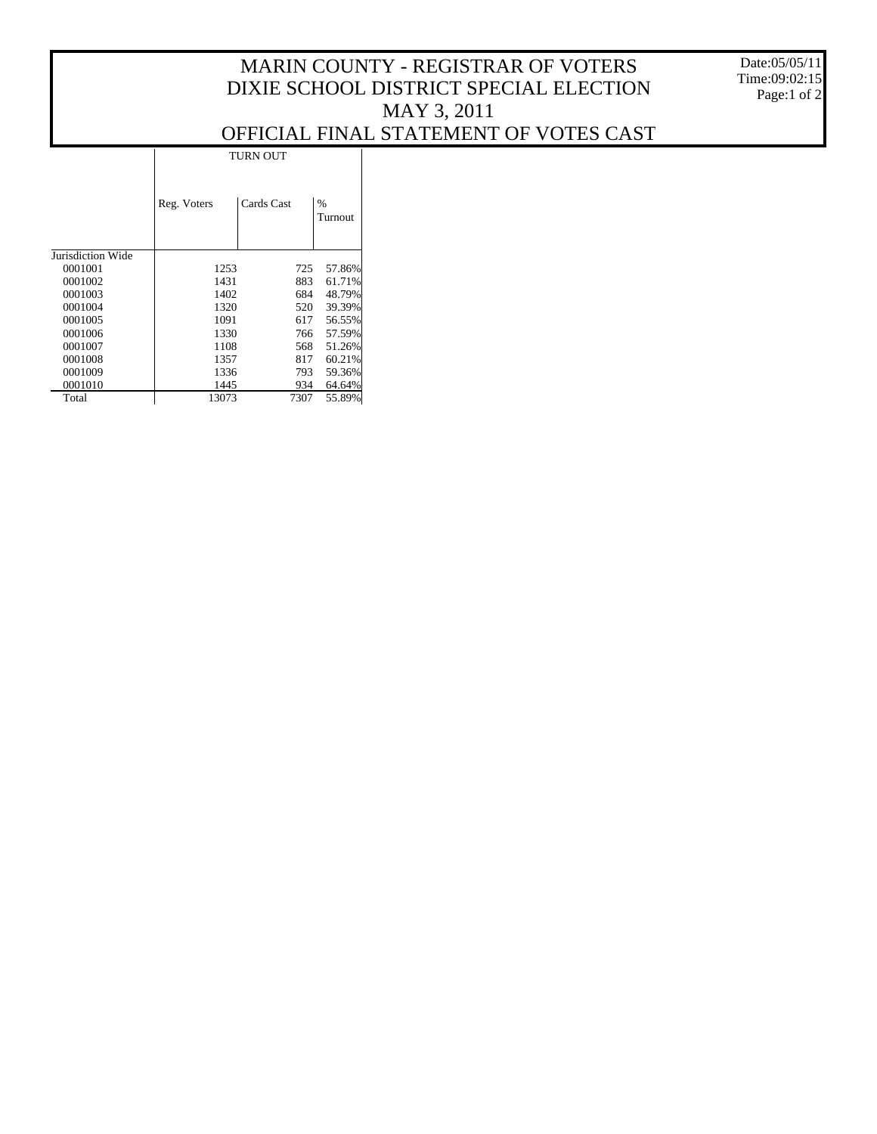## MARIN COUNTY - REGISTRAR OF VOTERS DIXIE SCHOOL DISTRICT SPECIAL ELECTION MAY 3, 2011

Date:05/05/11 Time:09:02:15 Page:1 of 2

## OFFICIAL FINAL STATEMENT OF VOTES CAST

 $\mathbf{L}$ 

|                   | <b>TURN OUT</b> |            |              |  |  |  |  |
|-------------------|-----------------|------------|--------------|--|--|--|--|
|                   | Reg. Voters     | Cards Cast | %<br>Turnout |  |  |  |  |
| Jurisdiction Wide |                 |            |              |  |  |  |  |
| 0001001           | 1253            | 725        | 57.86%       |  |  |  |  |
| 0001002           | 1431            | 883        | 61.71%       |  |  |  |  |
| 0001003           | 1402            | 684        | 48.79%       |  |  |  |  |
| 0001004           | 1320            | 520        | 39.39%       |  |  |  |  |
| 0001005           | 1091            | 617        | 56.55%       |  |  |  |  |
| 0001006           | 1330            | 766        | 57.59%       |  |  |  |  |
| 0001007           | 1108            | 568        | 51.26%       |  |  |  |  |
| 0001008           | 1357            | 817        | 60.21%       |  |  |  |  |
| 0001009           | 1336            | 793        | 59.36%       |  |  |  |  |
| 0001010           | 1445            | 934        | 64.64%       |  |  |  |  |
| Total             | 13073           | 7307       | 55.89%       |  |  |  |  |